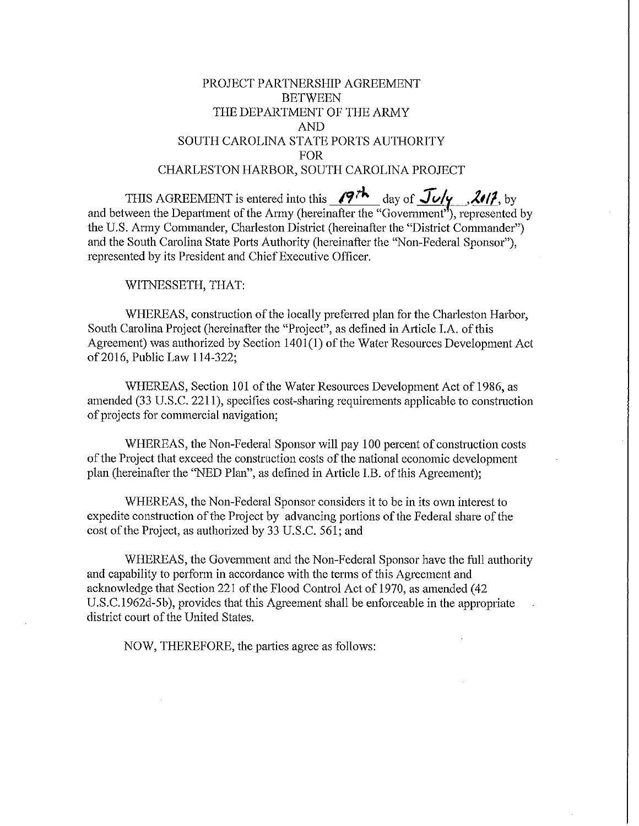# PROJECT PARTNERSHIP AGREEMENT BETWEEN THE DEPARTMENT OF THE ARMY AND SOUTH CAROLINA STATE PORTS AUTHORITY FOR CHARLESTON HARBOR, SOUTH CAROLINA PROJECT

THIS AGREEMENT is entered into this  $\sqrt{9}$ <sup>th</sup> day of  $\frac{\pi}{\sqrt{6}}$ , by and between the Department of the Army (hereinafter the "Government"), represented by the U.S. Atmy Commander, Charleston District (hereinafter the "District Commander") and the South Carolina State Ports Authority (hereinafter the "Non-Federal Sponsor"), represented by its President and Chief Executive Officer.

WITNESSETH, THAT:

WHEREAS, construction of the locally preferred plan for the Charleston Harbor, South Carolina Project (hereinafter the "Project", as defined in Article I.A. of this Agreement) was authorized by Section 1401(1) of the Water Resources Development Act of2016, Public Law 114-322;

WHEREAS, Section 101 of the Water Resources Development Act of 1986, as amended (33 U.S.C. 2211), specifies cost-sharing requirements applicable to construction of projects for commercial navigation;

WHEREAS, the Non-Federal Sponsor will pay 100 percent of construction costs of the Project that exceed the construction costs of the national economic development plan (hereinafter the "NED Plan", as defined in Article LB. of this Agreement);

WHEREAS, the Non-Federal Sponsor considers it to be in its own interest to expedite construction of the Project by advancing portions of the Federal share of the cost of the Project, as authorized by 33 U.S.C. 561; and

WHEREAS, the Government and the Non-Federal Sponsor have the full authority and capability to perform in accordance with the terms of this Agreement and acknowledge that Section 221 of the Flood Control Act of 1970, as amended (42 U.S.C. 1962d-5b), provides that this Agreement shall be enforceable in the appropriate district court of the United States.

NOW, THEREFORE, the parties agree as follows: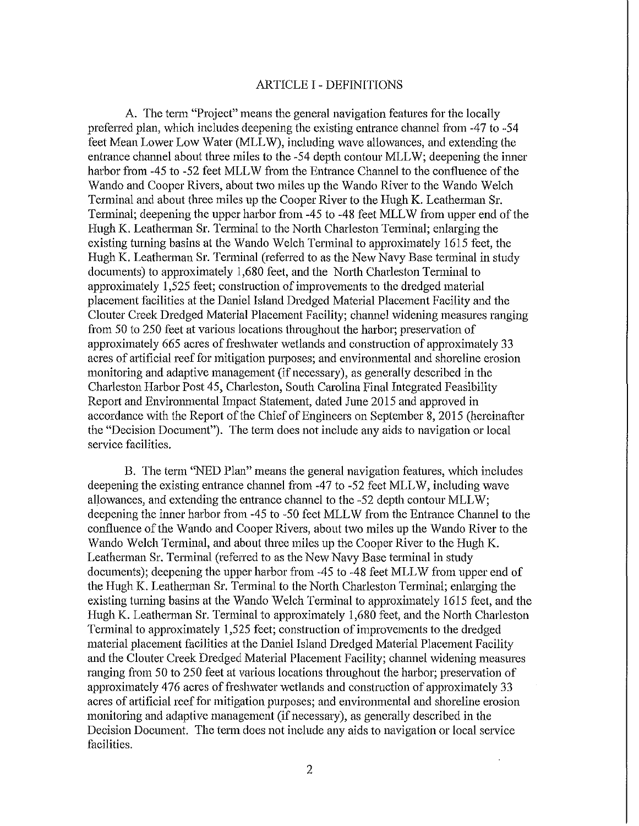### ARTICLE I - DEFINITIONS

A. The term "Project" means the general navigation features for the locally preferred plan, which includes deepening the existing entrance channel from -47 to -54 feet Mean Lower Low Water (MLL W), including wave allowances, and extending the entrance channel about three miles to the -54 depth contour MLLW; deepening the inner harbor from -45 to -52 feet MLLW from the Entrance Channel to the confluence of the Wando and Cooper Rivers, about two miles up the Wando River to the Wando Welch Terminal and about three miles up the Cooper River to the Hugh K. Leathennan Sr. Terminal; deepening the upper harbor from -45 to -48 feet MLLW from upper end of the Hugh K. Leatherman Sr. Terminal to the North Charleston Terminal; enlarging the existing turning basins at the Wando Welch Tenninal to approximately 1615 feet, the Hugh K. Leatherman Sr. Terminal (refened to as the New Navy Base terminal in study documents) to approximately 1,680 feet, and the North Charleston Terminal to approximately 1,525 feet; construction of improvements to the dredged material placement facilities at the Daniel Island Dredged Material Placement Facility and the Clouter Creek Dredged Material Placement Facility; channel widening measures ranging from 50 to 250 feet at various locations throughout the harbor; preservation of approximately 665 acres of freshwater wetlands and construction of approximately 33 acres of artificial reef for mitigation purposes; and enviromnental and shoreline erosion monitoring and adaptive management (if necessary), as generally described in the Charleston Harbor Post 45, Charleston, South Carolina Final Integrated Feasibility Report and Environmental Impact Statement, dated June 2015 and approved in accordance with the Report of the Chief of Engineers on September 8, 2015 (hereinafter the "Decision Document"). The term does not include any aids to navigation or local service facilities.

B. The term "NED Plan" means the general navigation features, which includes deepening the existing entrance channel from -47 to -52 feet MLLW, including wave allowances, and extending the entrance channel to the -52 depth contour MLLW; deepening the inner harbor from -45 to -50 feet MLLW from the Entrance Channel to the confluence of the Wando and Cooper Rivers, about two miles up the Wando River to the Wando Welch Terminal, and about three miles up the Cooper River to the Hugh K. Leatherman Sr. Terminal (referred to as the New Navy Base terminal in study documents); deepening the upper harbor from -45 to -48 feet MLLW from upper end of the Hugh K. Leatherman Sr. Terminal to the North Charleston Terminal; enlarging the existing turning basins at the Wando Welch Terminal to approximately 1615 feet, and the Hugh K. Leatherman Sr. Terminal to approximately 1,680 feet, and the North Charleston Terminal to approximately 1,525 feet; construction of improvements to the dredged material placement facilities at the Daniel Island Dredged Material Placement Facility and the Clouter Creek Dredged Material Placement Facility; channel widening measures ranging from 50 to 250 feet at various locations throughout the harbor; preservation of approximately 476 acres of freshwater wetlands and construction of approximately 33 acres of artificial reef for mitigation purposes; and environmental and shoreline erosion monitoring and adaptive management (if necessary), as generally described in the Decision Document. The term does not include any aids to navigation or local service facilities.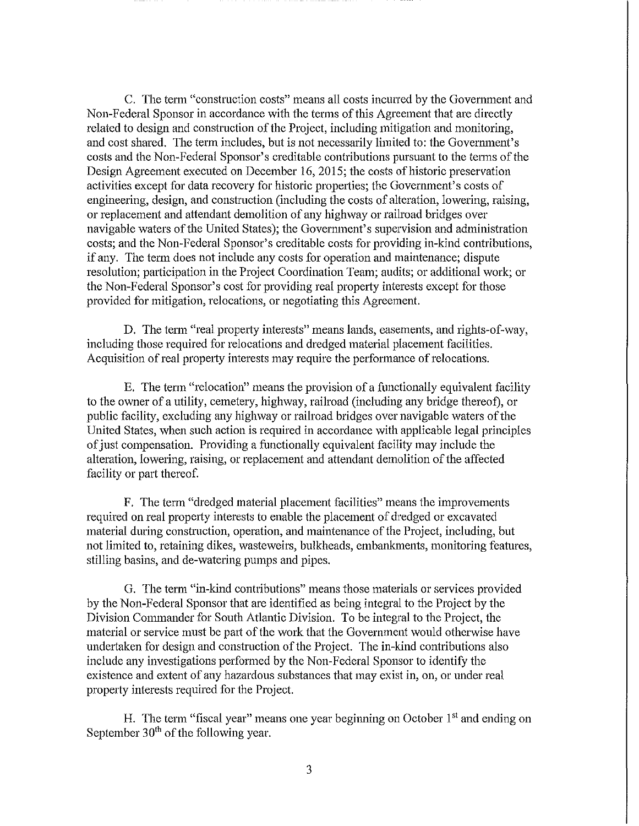C. The tenn "construction costs" means all costs incurred by the Government and Non-Federal Sponsor in accordance with the terms of this Agreement that are directly related to design and construction of the Project, including mitigation and monitoring, and cost shared. The term includes, but is not necessarily limited to: the Government's costs and the Non-Federal Sponsor's creditable contributions pursuant to the terms of the Design Agreement executed on December 16, 2015; the costs of historic preservation activities except for data recovery for historic properties; the Government's costs of engineering, design, and construction (including the costs of alteration, lowering, raising, or replacement and attendant demolition of any highway or railroad bridges over navigable waters of the United States); the Govermnent's supervision and administration costs; and the Non-Federal Sponsor's creditable costs for providing in-kind contributions, if any. The term does not include any costs for operation and maintenance; dispute resolution; participation in the Project Coordination Team; audits; or additional work; or the Non-Federal Sponsor's cost for providing real property interests except for those provided for mitigation, relocations, or negotiating this Agreement.

D. The term "real property interests" means lands, easements, and rights-of-way, including those required for relocations and dredged material placement facilities. Acquisition of real property interests may require the performance of relocations.

E. The term "relocation" means the provision of a functionally equivalent facility to the owner of a utility, cemetery, highway, railroad (including any bridge thereof), or public facility, excluding any highway or railroad bridges over navigable waters of the United States, when such action is required in accordance with applicable legal principles of just compensation. Providing a functionally equivalent facility may include the alteration, lowering, raising, or replacement and attendant demolition of the affected facility or part thereof.

F. The term "dredged material placement facilities" means the improvements required on real property interests to enable the placement of dredged or excavated material during construction, operation, and maintenance of the Project, including, but not limited to, retaining dikes, wasteweirs, bulkheads, embankments, monitoring features, stilling basins, and de-watering pumps and pipes.

G. The term "in-kind contributions" means those materials or services provided by the Non-Federal Sponsor that are identified as being integral to the Project by the Division Commander for South Atlantic Division. To be integral to the Project, the material or service must be part of the work that the Government would otherwise have undertaken for design and construction of the Project. The in-kind contributions also include any investigations performed by the Non-Federal Sponsor to identify the existence and extent of any hazardous substances that may exist in, on, or under real property interests required for the Project.

H. The term "fiscal year" means one year beginning on October  $1<sup>st</sup>$  and ending on September 30<sup>th</sup> of the following year.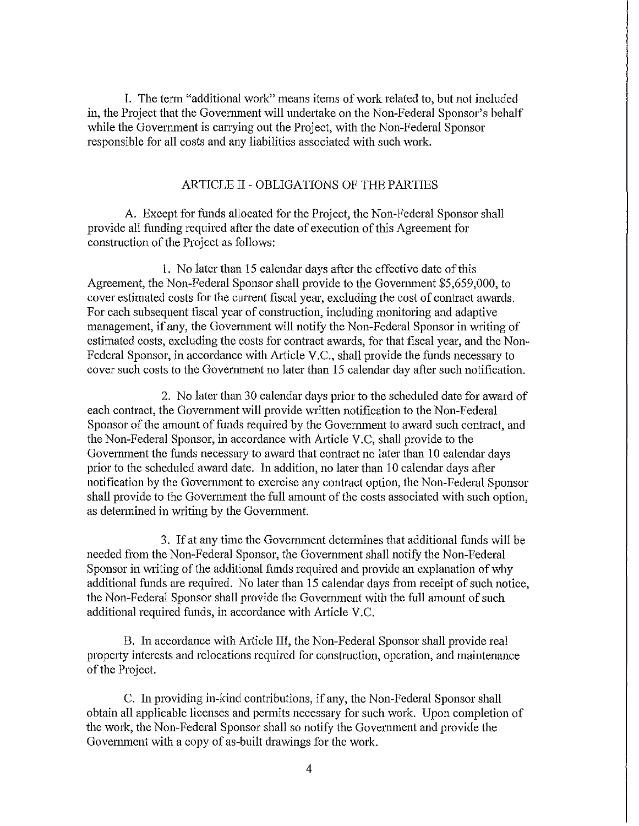I. The tenn "additional work" means items of work related to, but not included in, the Project that the Govermnent will undertake on the Non-Federal Sponsor's behalf while the Government is carrying out the Project, with the Non-Federal Sponsor responsible for all costs and any liabilities associated with such work.

### ARTICLE II - OBLIGATIONS OF THE PARTIES

A. Except for funds allocated for the Project, the Non-Federal Sponsor shall provide all funding required after the date of execution of this Agreement for construction of the Project as follows:

1. No later than 15 calendar days after the effective date of this Agreement, the Non-Federal Sponsor shall provide to the Government \$5,659,000, to cover estimated costs for the current fiscal year, excluding the cost of contract awards. For each subsequent fiscal year of construction, including monitoring and adaptive management, if any, the Govermnent will notify the Non-Federal Sponsor in writing of estimated costs, excluding the costs for contract awards, for that fiscal year, and the Non-Federal Sponsor, in accordance with Article V.C., shall provide the funds necessary to cover such costs to the Government no later than 15 calendar day after such notification.

2. No later than 30 calendar days prior to the scheduled date for award of each contract, the Government will provide written notification to the Non-Federal Sponsor of the amount of funds required by the Govermnent to award such contract, and the Non-Federal Sponsor, in accordance with Article V.C, shall provide to the Govermnent the funds necessary to award that contract no later than 10 calendar days prior to the scheduled award date. In addition, no later than 10 calendar days after notification by the Government to exercise any contract option, the Non-Federal Sponsor shall provide to the Govermnent the full amount of the costs associated with such option, as determined in writing by the Government.

3. If at any time the Govermnent determines that additional funds will be needed from the Non-Federal Sponsor, the Govermnent shall notify the Non-Federal Sponsor in writing of the additional funds required and provide an explanation of why additional funds are required. No later than 15 calendar days from receipt of such notice, the Non-Federal Sponsor shall provide the Government with the full amount of such additional required funds, in accordance with Article V.C.

B. In accordance with Article III, the Non-Federal Sponsor shall provide real property interests and relocations required for construction, operation, and maintenance of the Project.

C. In providing in-kind contributions, if any, the Non-Federal Sponsor shall obtain all applicable licenses and permits necessary for such work. Upon completion of the work, the Non-Federal Sponsor shall so notify the Govermuent and provide the Government with a copy of as-built drawings for the work.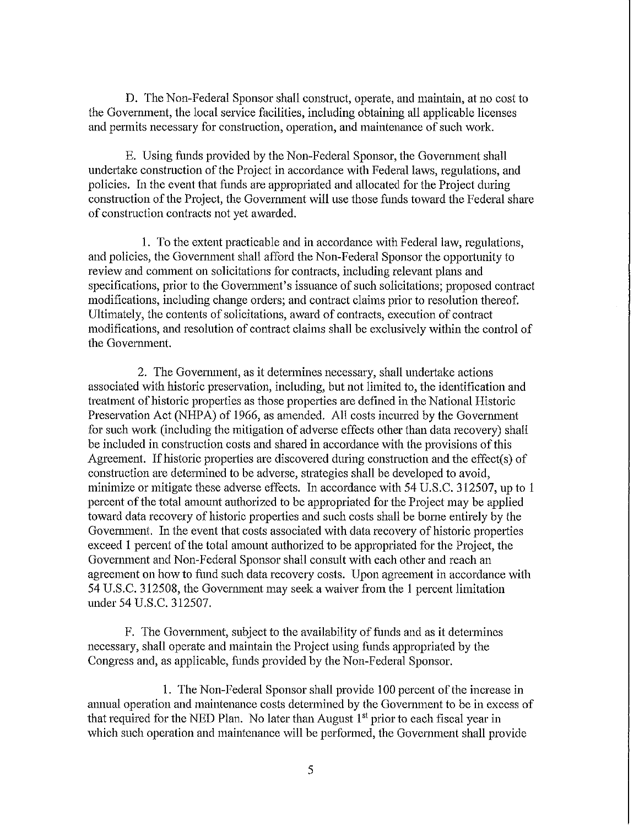D. The Non-Federal Sponsor shall construct, operate, and maintain, at no cost to the Government, the local service facilities, including obtaining all applicable licenses and permits necessary for construction, operation, and maintenance of such work.

E. Using funds provided by the Non-Federal Sponsor, the Govermnent shall undertake construction of the Project in accordance with Federal laws, regulations, and policies. In the event that ftmds are appropriated and allocated for the Project during construction of the Project, the Govennnent will use those funds toward the Federal share of construction contracts not yet awarded.

1. To the extent practicable and in accordance with Federal law, regulations, and policies, the Govermnent shall afford the Non-Federal Sponsor the opportunity to review and connnent on solicitations for contracts, including relevant plans and specifications, prior to the Government's issuance of such solicitations; proposed contract modifications, including change orders; and contract claims prior to resolution thereof. Ultimately, the contents of solicitations, award of contracts, execution of contract modifications, and resolution of contract claims shall be exclusively within the control of the Government.

2. The Government, as it determines necessary, shall undertake actions associated with historic preservation, including, but not limited to, the identification and treatment of historic properties as those properties are defined in the National Historic Preservation Act (NHPA) of 1966, as amended. All costs incurred by the Government for such work (including the mitigation of adverse effects other than data recovery) shall be included in construction costs and shared in accordance with the provisions of this Agreement. If historic properties are discovered during construction and the effect(s) of construction are determined to be adverse, strategies shall be developed to avoid, minimize or mitigate these adverse effects. In accordance with 54 U.S.C. 312507, up to 1 percent of the total amount authorized to be appropriated for the Project may be applied toward data recovery of historic properties and such costs shall be borne entirely by the Government. In the event that costs associated with data recovery of historic properties exceed 1 percent of the total amount authorized to be appropriated for the Project, the Government and Non-Federal Sponsor shall consult with each other and reach an agreement on how to fund such data recovery costs. Upon agreement in accordance with 54 U.S.C. 312508, the Government may seek a waiver from the 1 percent limitation under 54 U.S.C. 312507.

F. The Government, subject to the availability of funds and as it determines necessary, shall operate and maintain the Project using funds appropriated by the Congress and, as applicable, funds provided by the Non-Federal Sponsor.

1. The Non-Federal Sponsor shall provide 100 percent of the increase in ammal operation and maintenance costs determined by the Govennnent to be in excess of that required for the NED Plan. No later than August  $1<sup>st</sup>$  prior to each fiscal year in which such operation and maintenance will be performed, the Government shall provide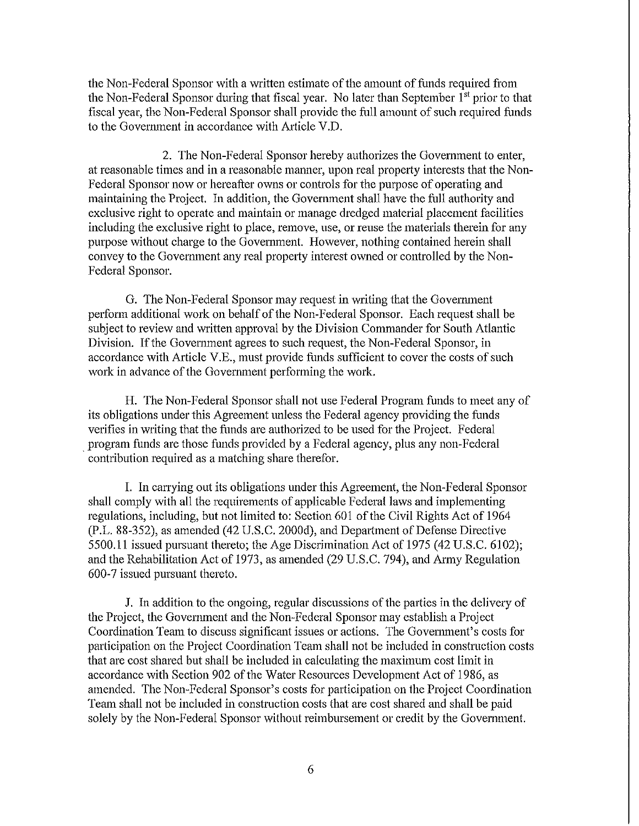the Non-Federal Sponsor with a written estimate of the amount of funds required from the Non-Federal Sponsor during that fiscal year. No later than September 1<sup>st</sup> prior to that fiscal year, the Non-Federal Sponsor shall provide the full amount of such required funds to the Govermnent in accordance with Article V.D.

2. The Non-Federal Sponsor hereby authorizes the Government to enter, at reasonable times and in a reasonable manner, upon real property interests that the Non-Federal Sponsor now or hereafter owns or controls for the purpose of operating and maintaining the Project. In addition, the Government shall have the full authority and exclusive right to operate and maintain or manage dredged material placement facilities including the exclusive right to place, remove, use, or reuse the materials therein for any purpose without charge to the Government. However, nothing contained herein shall convey to the Government any real property interest owned or controlled by the Non-Federal Sponsor.

G. The Non-Federal Sponsor may request in writing that the Government perform additional work on behalf of the Non-Federal Sponsor. Each request shall be subject to review and written approval by the Division Commander for South Atlantic Division. If the Government agrees to such request, the Non-Federal Sponsor, in accordance with Article V.E., must provide funds sufficient to cover the costs of such work in advance of the Government performing the work.

H. The Non-Federal Sponsor shall not use Federal Program funds to meet any of its obligations under this Agreement unless the Federal agency providing the funds verifies in writing that the funds are authorized to be used for the Project. Federal . program funds are those funds provided by a Federal agency, plus any non-Federal contribution required as a matching share therefor.

I. In carrying out its obligations under this Agreement, the Non-Federal Sponsor shall comply with all the requirements of applicable Federal laws and implementing regulations, including, but not limited to: Section 601 of the Civil Rights Act of 1964 (P.L. 88-352), as amended (42 U.S.C. 2000d), and Department of Defense Directive 5500.11 issued pursuant thereto; the Age Discrimination Act of 1975 (42 U.S.C. 6102); and the Rehabilitation Act of 1973, as amended (29 U.S.C. 794), and Army Regulation 600-7 issued pursuant thereto.

J. In addition to the ongoing, regular discussions of the parties in the delivery of the Project, the Govennnent and the Non-Federal Sponsor may establish a Project Coordination Team to discuss significant issues or actions. The Government's costs for participation on the Project Coordination Team shall not be included in construction costs that are cost shared but shall be included in calculating the maximum cost limit in accordance with Section 902 of the Water Resources Development Act of 1986, as amended. The Non-Federal Sponsor's costs for participation on the Project Coordination Team shall not be included in construction costs that are cost shared and shall be paid solely by the Non-Federal Sponsor without reimbursement or credit by the Government.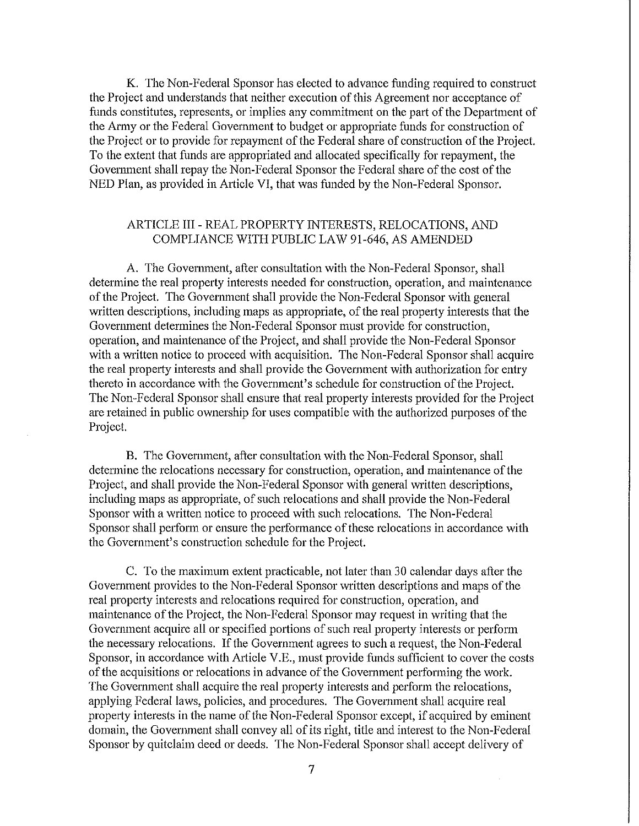K. The Non-Federal Sponsor has elected to advance funding required to construct the Project and understands that neither execution of this Agreement nor acceptance of funds constitutes, represents, or implies any commitment on the part of the Department of the Atmy or the Federal Government to budget or appropriate funds for construction of the Project or to provide for repayment of the Federal share of construction of the Project. To the extent that funds are appropriated and allocated specifically for repayment, the Government shall repay the Non-Federal Sponsor the Federal share of the cost of the NED Plan, as provided in Article VI, that was funded by the Non-Federal Sponsor.

## ARTICLE III - REAL PROPERTY INTERESTS, RELOCATIONS, AND COMPLIANCE WITH PUBLIC LAW 91-646, AS AMENDED

A. The Government, after consultation with the Non-Federal Sponsor, shall determine the real property interests needed for construction, operation, and maintenance of the Project. The Government shall provide the Non-Federal Sponsor with general written descriptions, including maps as appropriate, of the real property interests that the Govennnent determines the Non-Federal Sponsor must provide for construction, operation, and maintenance of the Project, and shall provide the Non-Federal Sponsor with a written notice to proceed with acquisition. The Non-Federal Sponsor shall acquire the real property interests and shall provide the Government with authorization for entry thereto in accordance with the Government's schedule for construction of the Project. The Non-Federal Sponsor shall ensure that real property interests provided for the Project are retained in public ownership for uses compatible with the authorized purposes of the Project.

B. The Government, after consultation with the Non-Federal Sponsor, shall determine the relocations necessary for construction, operation, and maintenance of the Project, and shall provide the Non-Federal Sponsor with general written descriptions, including maps as appropriate, of such relocations and shall provide the Non-Federal Sponsor with a written notice to proceed with such relocations. The Non-Federal Sponsor shall perform or ensure the performance of these relocations in accordance with the Government's construction schedule for the Project.

C. To the maximum extent practicable, not later than 30 calendar days after the Government provides to the Non-Federal Sponsor written descriptions and maps of the real propcity interests and relocations required for construction, operation, and maintenance of the Project, the Non-Federal Sponsor may request in writing that the Government acquire all or specified portions of such real property interests or perform the necessary relocations. If the Government agrees to such a request, the Non-Federal Sponsor, in accordance with Article V.E., must provide funds sufficient to cover the costs of the acquisitions or relocations in advance of the Government performing the work. The Government shall acquire the real property interests and perform the relocations, applying Federal laws, policies, and procedures. The Government shall acquire real property interests in the name of the Non-Federal Sponsor except, if acquired by eminent domain, the Government shall convey all of its right, title and interest to the Non-Federal Sponsor by quitclaim deed or deeds. The Non-Federal Sponsor shall accept delivery of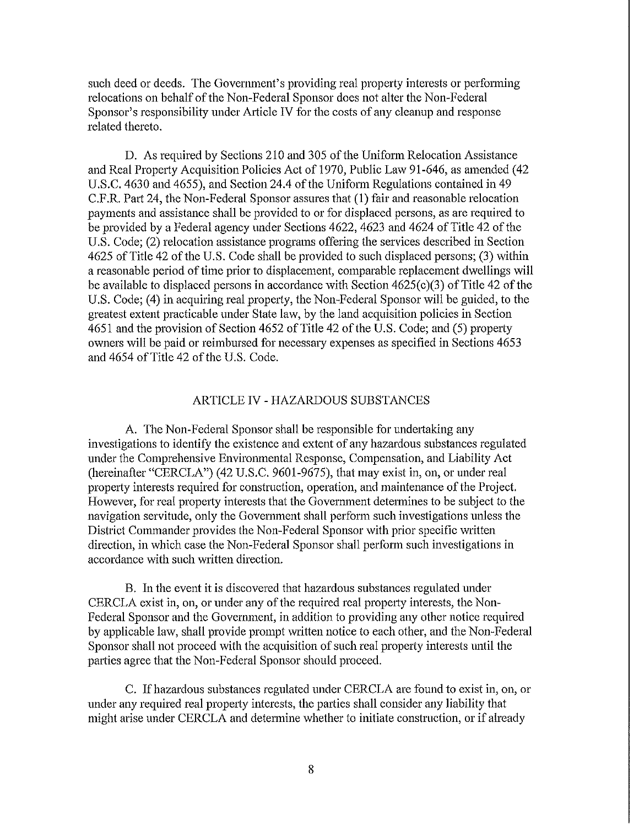such deed or deeds. The Government's providing real property interests or performing relocations on behalf of the Non-Federal Sponsor does not alter the Non-Federal Sponsor's responsibility under Article IV for the costs of any cleanup and response related thereto.

D. As required by Sections 210 and 305 of the Uniform Relocation Assistance and Real Property Acquisition Policies Act of 1970, Public Law 91-646, as amended ( 42 U.S.C. 4630 and 4655), and Section 24.4 of the Uniform Regulations contained in 49 C.F.R. Part 24, the Non-Federal Sponsor assures that (1) fair and reasonable relocation payments and assistance shall be provided to or for displaced persons, as are required to be provided by a Federal agency under Sections 4622, 4623 and 4624 of Title 42 of the U.S. Code; (2) relocation assistance programs offering the services described in Section 4625 of Title 42 of the U.S. Code shall be provided to such displaced persons; (3) within a reasonable period of time prior to displacement, comparable replacement dwellings will be available to displaced persons in accordance with Section 4625(c)(3) of Title 42 of the U.S. Code; (4) in acquiring real property, the Non-Federal Sponsor will be guided, to the greatest extent practicable under State law, by the land acquisition policies in Section 4651 and the provision of Section 4652 of Title 42 of the U.S. Code; and (5) propetiy owners will be paid or reimbursed for necessary expenses as specified in Sections 4653 and 4654 of Title 42 of the U.S. Code.

#### ARTICLE IV - HAZARDOUS SUBSTANCES

A. The Non-Federal Sponsor shall be responsible for undertaking any investigations to identify the existence and extent of any hazardous substances regulated under the Comprehensive Enviromnental Response, Compensation, and Liability Act (hereinafter "CERCLA") (42 U.S.C. 9601-9675), that may exist in, on, or under real propetiy interests required for construction, operation, and maintenance of the Project. However, for real property interests that the Government determines to be subject to the navigation servitude, only the Government shall perform such investigations unless the District Commander provides the Non-Federal Sponsor with prior specific written direction, in which case the Non-Federal Sponsor shall perfonn such investigations in accordance with such written direction.

B. In the event it is discovered that hazardous substances regulated under CERCLA exist in, on, or under any of the required real propetiy interests, the Non-Federal Sponsor and the Government, in addition to providing any other notice required by applicable law, shall provide prompt written notice to each other, and the Non-Federal Sponsor shall not proceed with the acquisition of such real property interests until the parties agree that the Non-Federal Sponsor should proceed.

C. If hazardous substances regulated under CERCLA are found to exist in, on, or under any required real property interests, the parties shall consider any liability that might arise under CERCLA and determine whether to initiate construction, or if already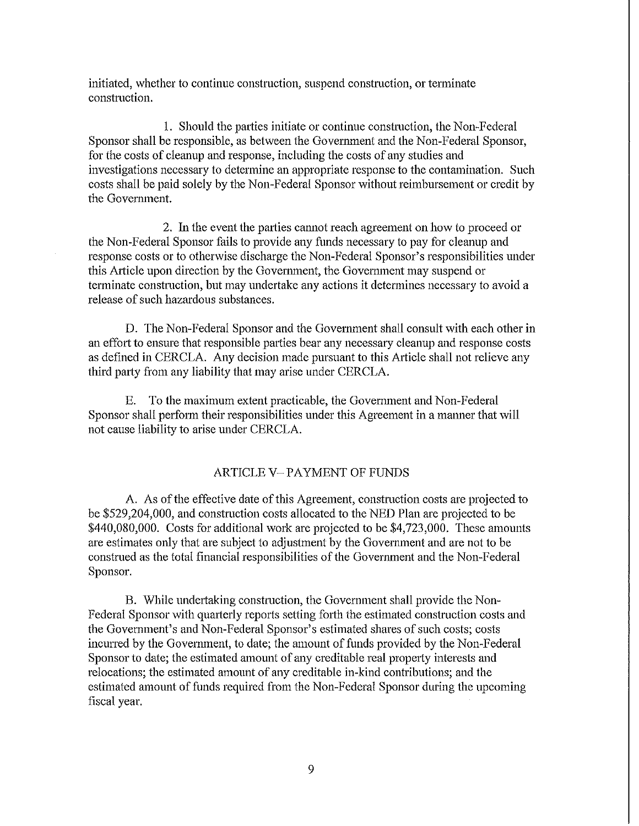initiated, whether to continue construction, suspend construction, or terminate construction.

1. Should the parties initiate or continue construction, the Non-Federal Sponsor shall be responsible, as between the Government and the Non-Federal Sponsor, for the costs of cleanup and response, including the costs of any studies and investigations necessary to determine an appropriate response to the contamination. Such costs shall be paid solely by the Non-Federal Sponsor without reimbursement or credit by the Government.

2. In the event the parties cannot reach agreement on how to proceed or the Non-Federal Sponsor fails to provide any funds necessary to pay for cleanup and response costs or to otherwise discharge the Non-Federal Sponsor's responsibilities under this Atticle upon direction by the Government, the Government may suspend or terminate construction, but may undertake any actions it determines necessary to avoid a release of such hazardous substances.

D. The Non-Federal Sponsor and the Government shall consult with each other in an effort to ensure that responsible parties bear any necessary cleanup and response costs as defined in CERCLA. Any decision made pursuant to this Article shall not relieve any third patty from any liability that may arise under CERCLA.

E. To the maximum extent practicable, the Government and Non-Federal Sponsor shall perform their responsibilities under this Agreement in a manner that will not cause liability to arise under CERCLA.

## ARTICLE V- PAYMENT OF FUNDS

A As of the effective date of this Agreement, construction costs are projected to be \$529,204,000, and construction costs allocated to the NED Plan are projected to be \$440,080,000. Costs for additional work are projected to be \$4,723,000. These amounts are estimates only that are subject to adjustment by the Government and are not to be construed as the total financial responsibilities of the Govermnent and the Non-Federal Sponsor.

B. While undertaking construction, the Government shall provide the Non-Federal Sponsor with quarterly reports setting forth the estimated construction costs and the Government's and Non-Federal Sponsor's estimated shares of such costs; costs incurred by the Govennnent, to date; the amount of funds provided by the Non-Federal Sponsor to date; the estimated amount of any creditable real property interests and relocations; the estimated amount of any creditable in-kind contributions; and the estimated amount of funds required from the Non-Federal Sponsor during the upcoming fiscal year.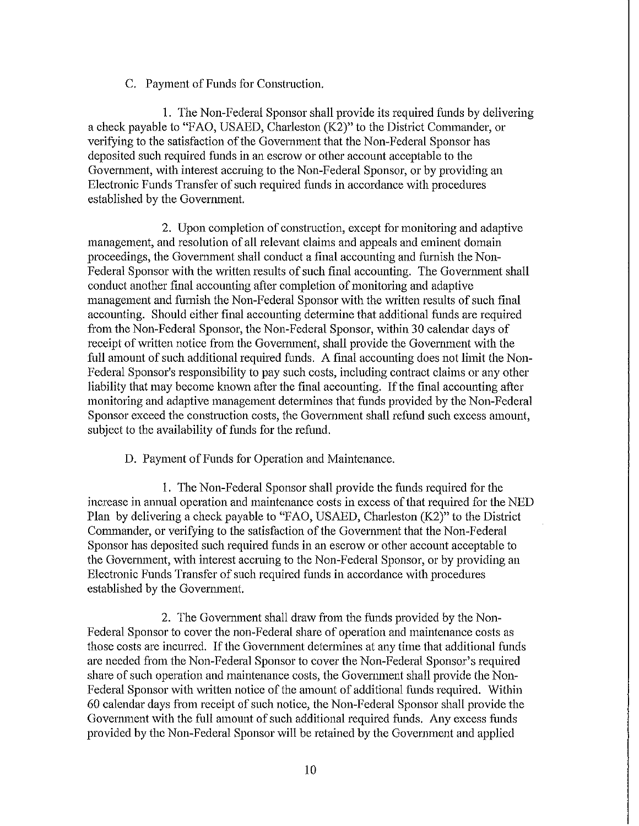### C. Payment of Funds for Construction.

1. The Non-Federal Sponsor shall provide its required funds by delivering a check payable to "FAO, USAED, Charleston (K2)" to the District Commander, or verifying to the satisfaction of the Government that the Non-Federal Sponsor has deposited such required funds in an escrow or other account acceptable to the Government, with interest accruing to the Non-Federal Sponsor, or by providing an Electronic Funds Transfer of such required funds in accordance with procedures established by the Govermnent.

2. Upon completion of construction, except for monitoring and adaptive management, and resolution of all relevant claims and appeals and eminent domain proceedings, the Government shall conduct a final accounting and furnish the Non-Federal Sponsor with the written results of such final accounting. The Govermnent shall conduct another final accounting after completion of monitoring and adaptive management and furnish the Non-Federal Sponsor with the written results of such final accounting. Should either final accounting determine that additional funds are required from the Non-Federal Sponsor, the Non-Federal Sponsor, within 30 calendar days of receipt of written notice from the Govermnent, shall provide the Govermnent with the full amount of such additional required funds. A final accounting does not limit the Non-Federal Sponsor's responsibility to pay such costs, including contract claims or any other liability that may become known after the final accounting. If the final accounting after monitoring and adaptive management determines that funds provided by the Non-Federal Sponsor exceed the construction costs, the Government shall refund such excess amount, subject to the availability of funds for the refund.

D. Payment of Funds for Operation and Maintenance.

1. The Non-Federal Sponsor shall provide the funds required for the increase in annual operation and maintenance costs in excess of that required for the NED Plan by delivering a check payable to "FAO, USAED, Charleston (K2)" to the District Commander, or verifying to the satisfaction of the Govermnent that the Non-Federal Sponsor has deposited such required funds in an escrow or other account acceptable to the Govennnent, with interest accruing to the Non-Federal Sponsor, or by providing an Electronic Funds Transfer of such required funds in accordance with procedures established by the Govemment.

2. The Govemment shall draw from the funds provided by the Non-Federal Sponsor to cover the non-Federal share of operation and maintenance costs as those costs are incurred. If the Government determines at any time that additional funds are needed from the Non-Federal Sponsor to cover the Non-Federal Sponsor's required share of such operation and maintenance costs, the Government shall provide the Non-Federal Sponsor with written notice of the amount of additional funds required. Within 60 calendar days from receipt of such notice, the Non-Federal Sponsor shall provide the Govermnent with the full amount of such additional required funds. Any excess funds provided by the Non-Federal Sponsor will be retained by the Government and applied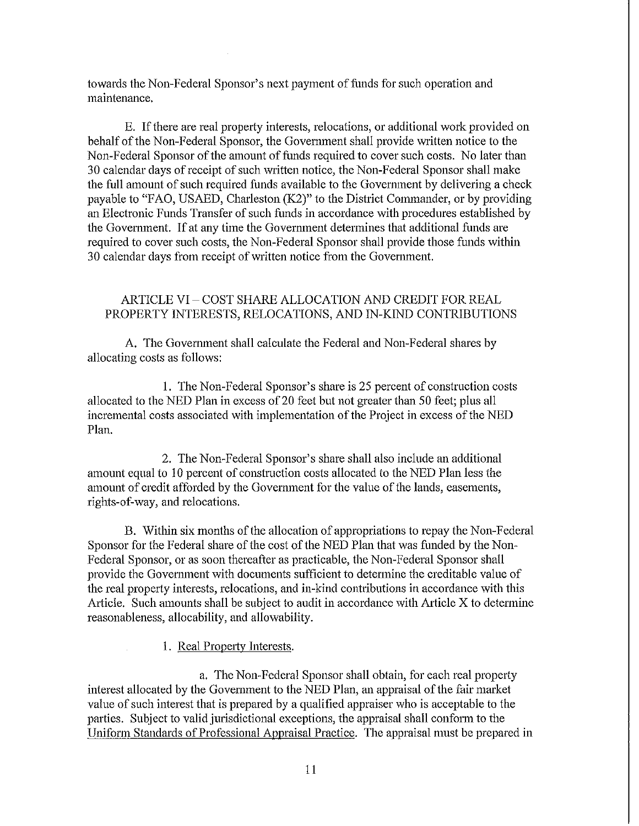towards the Non-Federal Sponsor's next payment of funds for such operation and maintenance.

E. If there are real property interests, relocations, or additional work provided on behalf of the Non-Federal Sponsor, the Govermnent shall provide written notice to the Non-Federal Sponsor of the amount of funds required to cover such costs. No later than 30 calendar days of receipt of such written notice, the Non-Federal Sponsor shall make the full amount of such required funds available to the Government by delivering a check payable to "FAO, USAED, Charleston (K2)" to the District Commander, or by providing an Electronic Funds Transfer of such funds in accordance with procedures established by the Government. If at any time the Government determines that additional funds are required to cover such costs, the Non-Federal Sponsor shall provide those funds within 30 calendar days from receipt of written notice from the Government.

## ARTICLE VI - COST SHARE ALLOCATION AND CREDIT FOR REAL PROPERTY INTERESTS, RELOCATIONS, AND IN-KIND CONTRIBUTIONS

A. The Government shall calculate the Federal and Non-Federal shares by allocating costs as follows:

1. The Non-Federal Sponsor's share is 25 percent of construction costs allocated to the NED Plan in excess of 20 feet but not greater than 50 feet; plus all incremental costs associated with implementation of the Project in excess of the NED Plan.

2. The Non-Federal Sponsor's share shall also include an additional amount equal to 10 percent of construction costs allocated to the NED Plan less the amount of credit afforded by the Govermnent for the value of the lands, easements, rights-of-way, and relocations.

B. Within six months of the allocation of appropriations to repay the Non-Federal Sponsor for the Federal share of the cost of the NED Plan that was funded by the Non-Federal Sponsor, or as soon thereafter as practicable, the Non-Federal Sponsor shall provide the Government with documents sufficient to determine the creditable value of the real property interests, relocations, and in-kind contributions in accordance with this Article. Such amounts shall be subject to audit in accordance with Article X to determine reasonableness, allocability, and allowability.

1. Real Property Interests.

a. The Non-Federal Sponsor shall obtain, for each real properly interest allocated by the Government to the NED Plan, an appraisal of the fair market value of such interest that is prepared by a qualified appraiser who is acceptable to the parties. Subject to valid jurisdictional exceptions, the appraisal shall conform to the Uniform Standards of Professional Appraisal Practice. The appraisal must be prepared in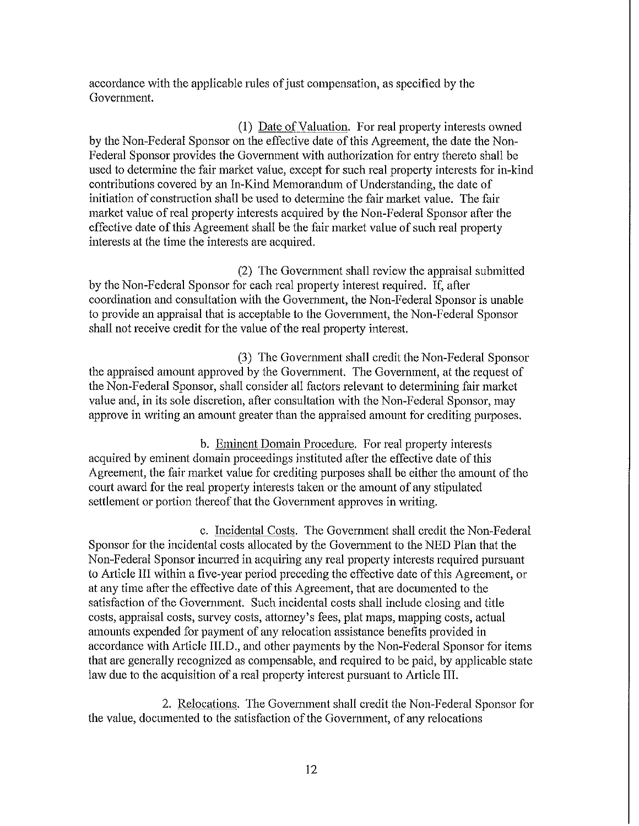accordance with the applicable rules of just compensation, as specified by the Government.

(1) Date of Valuation. For real property interests owned by the Non-Federal Sponsor on the effective date of this Agreement, the date the Non-Federal Sponsor provides the Government with authorization for entry thereto shall be used to determine the fair market value, except for such real property interests for in-kind contributions covered by an In-Kind Memorandum of Understanding, the date of initiation of construction shall be used to determine the fair market value. The fair market value of real property interests acquired by the Non-Federal Sponsor after the effective date of this Agreement shall be the fair market value of such real property interests at the time the interests are acquired.

(2) The Government shall review the appraisal submitted by the Non-Federal Sponsor for each real property interest required. If, after coordination and consultation with the Government, the Non-Federal Sponsor is unable to provide an appraisal that is acceptable to the Govennnent, the Non-Federal Sponsor shall not receive credit for the value of the real property interest.

(3) The Govermnent shall credit the Non-Federal Sponsor the appraised amount approved by the Government. The Government, at the request of the Non-Federal Sponsor, shall consider all factors relevant to determining fair market value and, in its sole discretion, after consultation with the Non-Federal Sponsor, may approve in writing an amount greater than the appraised amount for crediting purposes.

b. Eminent Domain Procedure. For real property interests acquired by eminent domain proceedings instituted after the effective date of this Agreement, the fair market value for crediting purposes shall be either the amount of the court award for the real propeity interests taken or the amount of any stipulated settlement or portion thereof that the Government approves in writing.

c. Incidental Costs. The Government shall credit the Non-Federal Sponsor for the incidental costs allocated by the Government to the NED Plan that the Non-Federal Sponsor incurred in acquiring any real property interests required pursuant to Article III within a five-year period preceding the effective date of this Agreement, or at any time after the effective date of this Agreement, that are documented to the satisfaction of the Government. Such incidental costs shall include closing and title costs, appraisal costs, survey costs, attorney's fees, plat maps, mapping costs, actual amounts expended for payment of any relocation assistance benefits provided in accordance with Article III.D., and other payments by the Non-Federal Sponsor for items that are generally recognized as compensable, and required to be paid, by applicable state law due to the acquisition of a real property interest pursuant to Atticle III.

2. Relocations. The Government shall credit the Non-Federal Sponsor for the value, documented to the satisfaction of the Government, of any relocations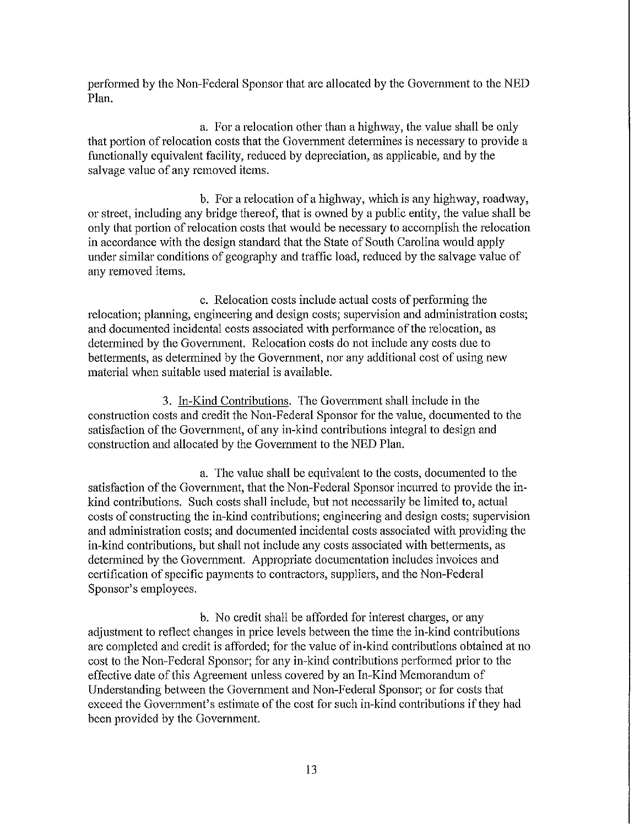performed by the Non-Federal Sponsor that are allocated by the Government to the NED Plan.

a. For a relocation other than a highway, the value shall be only that portion of relocation costs that the Government determines is necessary to provide a functionally equivalent facility, reduced by depreciation, as applicable, and by the salvage value of any removed items.

b. For a relocation of a highway, which is any highway, roadway, or street, including any bridge thereof, that is owned by a public entity, the value shall be only that portion of relocation costs that would be necessary to accomplish the relocation in accordance with the design standard that the State of South Carolina would apply under similar conditions of geography and traffic load, reduced by the salvage value of any removed items.

c. Relocation costs include actual costs of performing the relocation; planning, engineering and design costs; supervision and administration costs; and documented incidental costs associated with performance of the relocation, as determined by the Govermnent. Relocation costs do not inclnde any costs due to betterments, as determined by the Government, nor any additional cost of using new material when suitable used material is available.

3. In-Kind Contributions. The Government shall include in the construction costs and credit the Non-Federal Sponsor for the value, documented to the satisfaction of the Government, of any in-kind contributions integral to design and construction and allocated by the Govermnent to the NED Plan.

a. The value shall be equivalent to the costs, documented to the satisfaction of the Government, that the Non-Federal Sponsor incurred to provide the inkind contributions. Such costs shall include, but not necessarily be limited to, actual costs of constructing the in-kind contributions; engineering and design costs; supervision and administration costs; and documented incidental costs associated with providing the in-kind contributions, but shall not include any costs associated with betterments, as determined by the Govermnent. Appropriate documentation includes invoices and certification of specific payments to contractors, suppliers, and the Non-Federal Sponsor's employees.

b. No credit shall be afforded for interest charges, or any adjustment to reflect changes in price levels between the time the in-kind contributions are completed and credit is afforded; for the value of in-kind contributions obtained at no cost to the Non-Federal Sponsor; for any in-kind contributions performed prior to the effective date of this Agreement unless covered by an In-Kind Memorandum of Understanding between the Govermnent and Non-Federal Sponsor; or for costs that exceed the Govermnent's estimate of the cost for such in-kind contributions if they had been provided by the Government.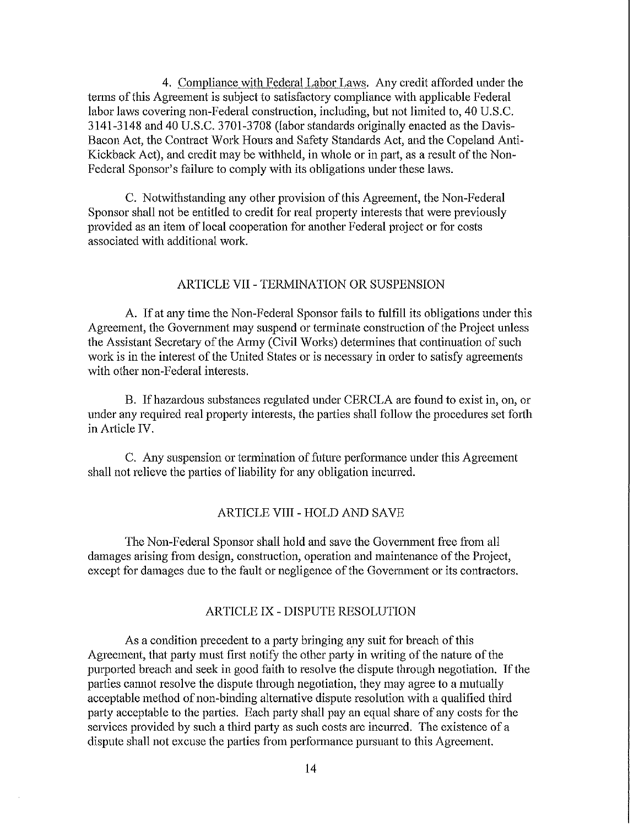4. Compliance with Federal Labor Laws. Any credit afforded under the tenns of this Agreement is subject to satisfactory compliance with applicable Federal labor laws covering non-Federal construction, including, but not limited to, 40 U.S.C. 3141-3148 and 40 U.S.C. 3701-3708 (labor standards originally enacted as the Davis-Bacon Act, the Contract Work Hours and Safety Standards Act, and the Copeland Anti-Kickback Act), and credit may be withheld, in whole or in part, as a result of the Non-Federal Sponsor's failure to comply with its obligations under these laws.

C. Notwithstanding any other provision of this Agreement, the Non-Federal Sponsor shall not be entitled to credit for real property interests that were previously provided as an item of local cooperation for another Federal project or for costs associated with additional work.

#### ARTICLE VII - TERMINATION OR SUSPENSION

A. If at any time the Non-Federal Sponsor fails to fulfill its obligations under this Agreement, the Government may suspend or terminate construction of the Project unless the Assistant Secretary of the Anny (Civil Works) detennines that continuation of such work is in the interest of the United States or is necessary in order to satisfy agreements with other non-Federal interests.

B. If hazardous substances regulated under CERCLA are found to exist in, on, or under any required real property interests, the parties shall follow the procedures set forth in Article IV.

C. Any suspension or termination of future performance under this Agreement shall not relieve the parties of liability for any obligation incurred.

#### ARTICLE VIII - HOLD AND SAVE

The Non-Federal Sponsor shall hold and save the Government free from all damages arising from design, construction, operation and maintenance of the Project, except for damages due to the fault or negligence of the Government or its contractors.

## ARTICLE IX - DISPUTE RESOLUTION

As a condition precedent to a party bringing any suit for breach of this Agreement, that patty must first notify the other patty in writing of the nature of the purported breach and seek in good faith to resolve the dispute through negotiation. If the parties cannot resolve the dispute through negotiation, they may agree to a mutually acceptable method of non-binding alternative dispute resolution with a qualified third party acceptable to the parties. Each party shall pay an equal share of any costs for the services provided by such a third party as such costs are incurred. The existence of a dispute shall not excuse the parties from performance pursuant to this Agreement.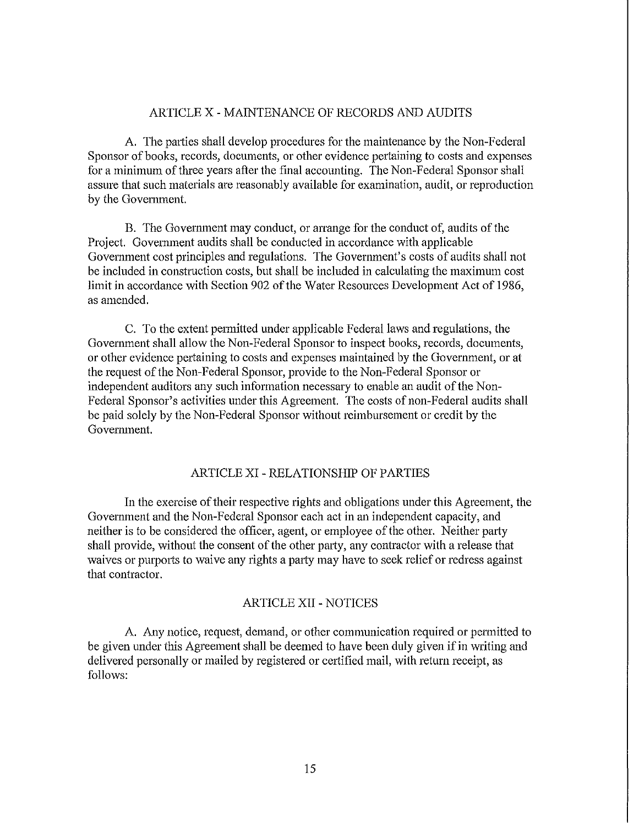## ARTICLE X - MAINTENANCE OF RECORDS AND AUDITS

A. The parties shall develop procedures for the maintenance by the Non-Federal Sponsor of books, records, documents, or other evidence pertaining to costs and expenses for a minimum of three years after the final accounting. The Non-Federal Sponsor shall assure that such materials are reasonably available for examination, audit, or reproduction by the Government.

B. The Government may conduct, or arrange for the conduct of, audits of the Project. Government audits shall be conducted in accordance with applicable Government cost principles and regulations. The Government's costs of audits shall not be included in construction costs, but shall be included in calculating the maximum cost limit in accordance with Section 902 of the Water Resources Development Act of 1986, as amended.

C. To the extent permitted under applicable Federal laws and regulations, the Government shall allow the Non-Federal Sponsor to inspect books, records, documents, or other evidence pertaining to costs and expenses maintained by the Government, or at the request of the Non-Federal Sponsor, provide to the Non-Federal Sponsor or independent auditors any such information necessary to enable an audit of the Non-Federal Sponsor's activities under this Agreement. The costs of non-Federal audits shall be paid solely by the Non-Federal Sponsor without reimbursement or credit by the Government.

## ARTICLE XI - RELATIONSHIP OF PARTIES

In the exercise of their respective rights and obligations under this Agreement, the Government and the Non-Federal Sponsor each act in an independent capacity, and neither is to be considered the officer, agent, or employee of the other. Neither patty shall provide, without the consent of the other party, any contractor with a release that waives or purports to waive any rights a patty may have to seek relief or redress against that contractor.

#### ARTICLE XII - NOTICES

A. Any notice, request, demand, or other communication required or pennitted to be given under this Agreement shall be deemed to have been duly given if in writing and delivered personally or mailed by registered or certified mail, with return receipt, as follows: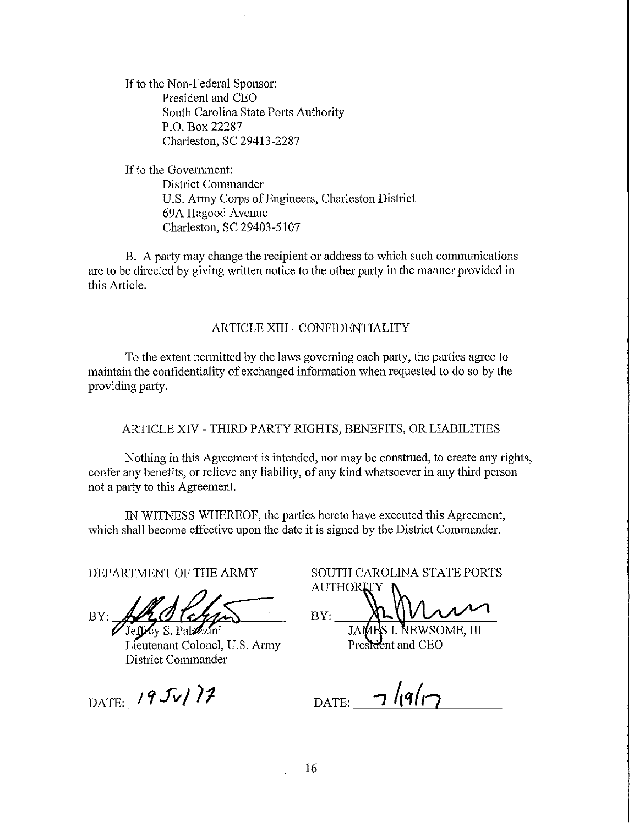If to the Non-Federal Sponsor: President and CEO South Carolina State Ports Authority P.O. Box 22287 Charleston, SC 29413-2287

If to the Govennnent: District Connnander U.S. Army Corps of Engineers, Charleston District 69A Hagood Avenue Charleston, SC 29403-5107

B. A party may change the recipient or address to which such conununications are to be directed by giving written notice to the other party in the manner provided in this Article.

## ARTICLE XIII - CONFIDENTIALITY

To the extent permitted by the laws governing each patty, the patties agree to maintain the confidentiality of exchanged information when requested to do so by the providing party.

ARTICLE XIV - THIRD PARTY RIGHTS, BENEFITS, OR LIABILITIES

Nothing in this Agreement is intended, nor may be construed, to create any rights, confer any benefits, or relieve any liability, of any kind whatsoever in any third person not a party to this Agreement.

IN WITNESS WHEREOF, the parties hereto have executed this Agreement, which shall become effective upon the date it is signed by the District Commander.

DEPARTMENT OF THE ARMY

 $\frac{BY}{\sqrt{\text{Jeffley S. Palzizini}}}$ 

Lieutenant Colonel, U.S. Army District Commander

DATE: 19  $Jv/$  7

SOUTH CAROLINA STATE PORTS **AUTHORIT** 

 $BY:$ 

**JAMES I. NEWSOME, III** President and CEO

 $_{\text{DATE:}}$   $7$  /(9/17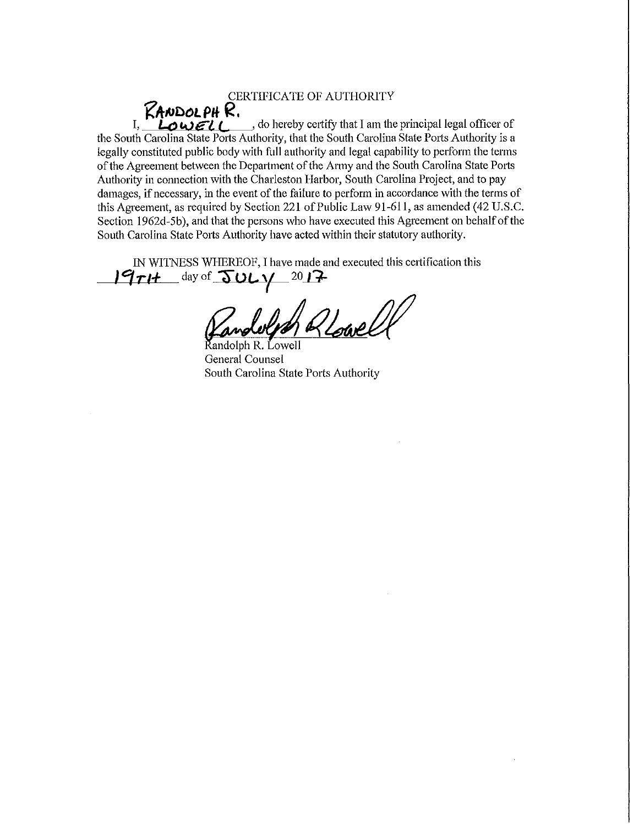CERTIFICATE OF AUTHORITY  $R$ ANDOLPH R.  $I, \quad L_0 \cup \epsilon l$   $\leftarrow$  do hereby certify that I am the principal legal officer of the South Carolina State Ports Authority, that the South Carolina State Ports Authority is a legally constituted public body with full authority and legal capability to perform the terms of the Agreement between the Depattment of the Anny and the South Carolina State Potts Authority in connection with the Charleston Harbor, South Carolina Project, and to pay damages, if necessaty, in the event of the failure to perform in accordance with the terms of this Agreement, as required by Section 221 of Public Law 91-611, as amended (42 U.S.C. Section 1962d-5b), and that the persons who have executed this Agreement on behalf of the South Carolina State Ports Authority have acted within their statutory authority.

IN WITNESS WHEREOF, I have made and executed this certification this  $19$  $71+$  day of  $50L$  $1/$   $2017$ 

Pandelph Reparell

General Counsel South Carolina State Ports Authority